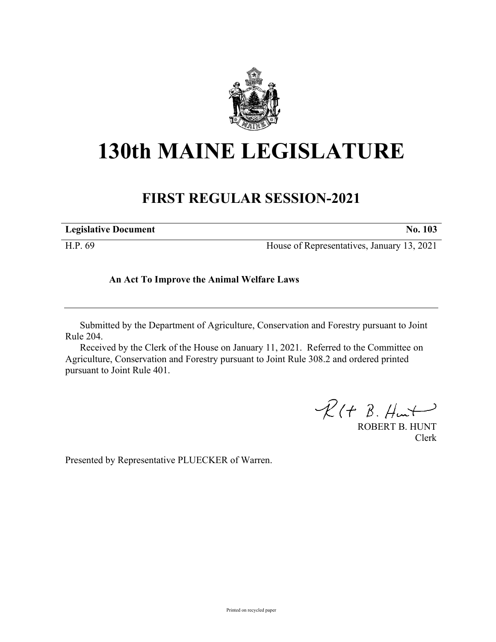

## **130th MAINE LEGISLATURE**

## **FIRST REGULAR SESSION-2021**

| <b>Legislative Document</b> | 103 |
|-----------------------------|-----|
|                             |     |

H.P. 69 House of Representatives, January 13, 2021

## **An Act To Improve the Animal Welfare Laws**

Submitted by the Department of Agriculture, Conservation and Forestry pursuant to Joint Rule 204.

Received by the Clerk of the House on January 11, 2021. Referred to the Committee on Agriculture, Conservation and Forestry pursuant to Joint Rule 308.2 and ordered printed pursuant to Joint Rule 401.

 $R(H B. H<sub>ur</sub>)$ 

ROBERT B. HUNT Clerk

Presented by Representative PLUECKER of Warren.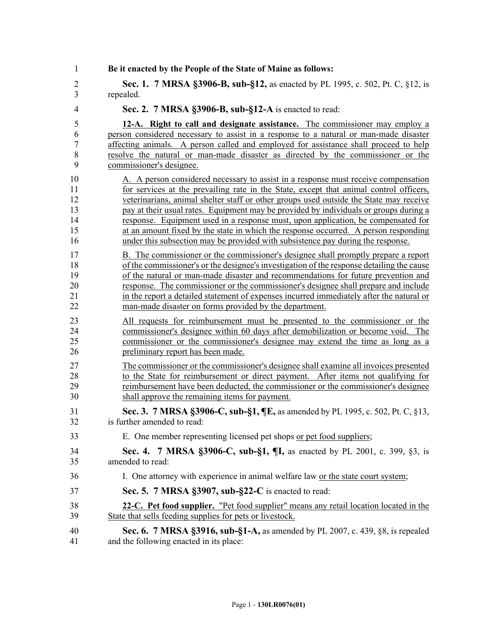| 1              | Be it enacted by the People of the State of Maine as follows:                             |
|----------------|-------------------------------------------------------------------------------------------|
| $\overline{2}$ | Sec. 1. 7 MRSA §3906-B, sub-§12, as enacted by PL 1995, c. 502, Pt. C, §12, is            |
| 3              | repealed.                                                                                 |
| $\overline{4}$ | Sec. 2. 7 MRSA §3906-B, sub-§12-A is enacted to read:                                     |
| 5              | 12-A. Right to call and designate assistance. The commissioner may employ a               |
| 6              | person considered necessary to assist in a response to a natural or man-made disaster     |
| $\overline{7}$ | affecting animals. A person called and employed for assistance shall proceed to help      |
| $\,8\,$        | resolve the natural or man-made disaster as directed by the commissioner or the           |
| 9              | commissioner's designee.                                                                  |
| 10             | A. A person considered necessary to assist in a response must receive compensation        |
| 11             | for services at the prevailing rate in the State, except that animal control officers,    |
| 12             | veterinarians, animal shelter staff or other groups used outside the State may receive    |
| 13             | pay at their usual rates. Equipment may be provided by individuals or groups during a     |
| 14             | response. Equipment used in a response must, upon application, be compensated for         |
| 15             | at an amount fixed by the state in which the response occurred. A person responding       |
| 16             | under this subsection may be provided with subsistence pay during the response.           |
| 17             | B. The commissioner or the commissioner's designee shall promptly prepare a report        |
| 18             | of the commissioner's or the designee's investigation of the response detailing the cause |
| 19             | of the natural or man-made disaster and recommendations for future prevention and         |
| 20             | response. The commissioner or the commissioner's designee shall prepare and include       |
| 21             | in the report a detailed statement of expenses incurred immediately after the natural or  |
| 22             | man-made disaster on forms provided by the department.                                    |
| 23             | All requests for reimbursement must be presented to the commissioner or the               |
| 24             | commissioner's designee within 60 days after demobilization or become void. The           |
| 25             | commissioner or the commissioner's designee may extend the time as long as a              |
| 26             | preliminary report has been made.                                                         |
| 27             | The commissioner or the commissioner's designee shall examine all invoices presented      |
| 28             | to the State for reimbursement or direct payment. After items not qualifying for          |
| 29             | reimbursement have been deducted, the commissioner or the commissioner's designee         |
| 30             | shall approve the remaining items for payment.                                            |
| 31             | Sec. 3. 7 MRSA §3906-C, sub-§1, ¶E, as amended by PL 1995, c. 502, Pt. C, §13,            |
| 32             | is further amended to read:                                                               |
| 33             | E. One member representing licensed pet shops or pet food suppliers;                      |
| 34             | Sec. 4. 7 MRSA §3906-C, sub-§1, ¶I, as enacted by PL 2001, c. 399, §3, is                 |
| 35             | amended to read:                                                                          |
| 36             | I. One attorney with experience in animal welfare law or the state court system;          |
| 37             | Sec. 5. 7 MRSA §3907, sub-§22-C is enacted to read:                                       |
| 38             | 22-C. Pet food supplier. "Pet food supplier" means any retail location located in the     |
| 39             | State that sells feeding supplies for pets or livestock.                                  |
| 40             | <b>Sec. 6.</b> 7 MRSA §3916, sub-§1-A, as amended by PL 2007, c. 439, §8, is repealed     |
| 41             | and the following enacted in its place:                                                   |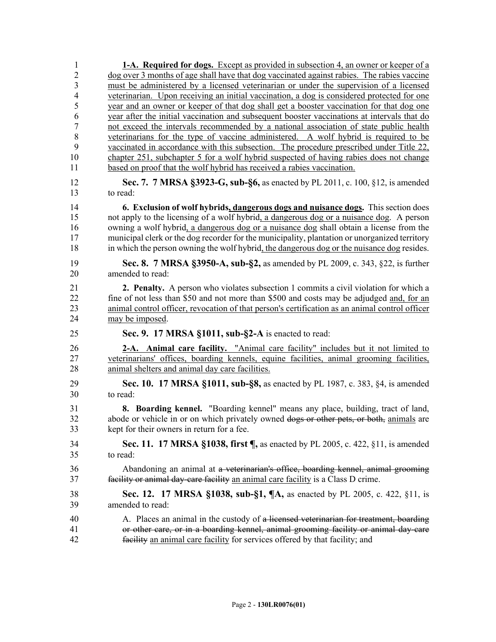| 1                    | <b>1-A.</b> Required for dogs. Except as provided in subsection 4, an owner or keeper of a                                                                                                                                                                                                                   |
|----------------------|--------------------------------------------------------------------------------------------------------------------------------------------------------------------------------------------------------------------------------------------------------------------------------------------------------------|
| $\overline{2}$       | dog over 3 months of age shall have that dog vaccinated against rabies. The rabies vaccine                                                                                                                                                                                                                   |
| $\mathfrak{Z}$       | must be administered by a licensed veterinarian or under the supervision of a licensed                                                                                                                                                                                                                       |
| 4<br>5               | veterinarian. Upon receiving an initial vaccination, a dog is considered protected for one<br>year and an owner or keeper of that dog shall get a booster vaccination for that dog one                                                                                                                       |
| 6                    | year after the initial vaccination and subsequent booster vaccinations at intervals that do                                                                                                                                                                                                                  |
| $\tau$               | not exceed the intervals recommended by a national association of state public health                                                                                                                                                                                                                        |
| $\,$ $\,$            | veterinarians for the type of vaccine administered. A wolf hybrid is required to be                                                                                                                                                                                                                          |
| 9                    | vaccinated in accordance with this subsection. The procedure prescribed under Title 22,                                                                                                                                                                                                                      |
| 10                   | chapter 251, subchapter 5 for a wolf hybrid suspected of having rabies does not change                                                                                                                                                                                                                       |
| 11                   | based on proof that the wolf hybrid has received a rabies vaccination.                                                                                                                                                                                                                                       |
| 12<br>13             | Sec. 7. 7 MRSA §3923-G, sub-§6, as enacted by PL 2011, c. 100, §12, is amended<br>to read:                                                                                                                                                                                                                   |
| 14                   | 6. Exclusion of wolf hybrids, dangerous dogs and nuisance dogs. This section does                                                                                                                                                                                                                            |
| 15                   | not apply to the licensing of a wolf hybrid, a dangerous dog or a nuisance dog. A person                                                                                                                                                                                                                     |
| 16                   | owning a wolf hybrid, a dangerous dog or a nuisance dog shall obtain a license from the                                                                                                                                                                                                                      |
| 17<br>18             | municipal clerk or the dog recorder for the municipality, plantation or unorganized territory<br>in which the person owning the wolf hybrid, the dangerous dog or the nuisance dog resides.                                                                                                                  |
|                      |                                                                                                                                                                                                                                                                                                              |
| 19<br>20             | Sec. 8. 7 MRSA §3950-A, sub-§2, as amended by PL 2009, c. 343, §22, is further<br>amended to read:                                                                                                                                                                                                           |
| 21<br>22<br>23<br>24 | <b>2. Penalty.</b> A person who violates subsection 1 commits a civil violation for which a<br>fine of not less than \$50 and not more than \$500 and costs may be adjudged and, for an<br>animal control officer, revocation of that person's certification as an animal control officer<br>may be imposed. |
| 25                   | Sec. 9. 17 MRSA §1011, sub-§2-A is enacted to read:                                                                                                                                                                                                                                                          |
| 26<br>27<br>28       | 2-A. Animal care facility. "Animal care facility" includes but it not limited to<br>veterinarians' offices, boarding kennels, equine facilities, animal grooming facilities,<br>animal shelters and animal day care facilities.                                                                              |
| 29<br>30             | <b>Sec. 10. 17 MRSA §1011, sub-§8,</b> as enacted by PL 1987, c. 383, §4, is amended<br>to read:                                                                                                                                                                                                             |
| 31                   | 8. Boarding kennel. "Boarding kennel" means any place, building, tract of land,                                                                                                                                                                                                                              |
| 32                   | abode or vehicle in or on which privately owned dogs or other pets, or both, animals are                                                                                                                                                                                                                     |
| 33                   | kept for their owners in return for a fee.                                                                                                                                                                                                                                                                   |
| 34                   | Sec. 11. 17 MRSA §1038, first ¶, as enacted by PL 2005, c. 422, §11, is amended                                                                                                                                                                                                                              |
| 35                   | to read:                                                                                                                                                                                                                                                                                                     |
| 36<br>37             | Abandoning an animal at a veterinarian's office, boarding kennel, animal grooming<br>facility or animal day-care facility an animal care facility is a Class D crime.                                                                                                                                        |
| 38                   | <b>Sec. 12. 17 MRSA §1038, sub-§1, <math>\P</math>A, as enacted by PL 2005, c. 422, §11, is</b>                                                                                                                                                                                                              |
| 39                   | amended to read:                                                                                                                                                                                                                                                                                             |
| 40                   | A. Places an animal in the custody of a licensed veterinarian for treatment, boarding                                                                                                                                                                                                                        |
| 41<br>42             | or other care, or in a boarding kennel, animal grooming facility or animal day-care<br>facility an animal care facility for services offered by that facility; and                                                                                                                                           |